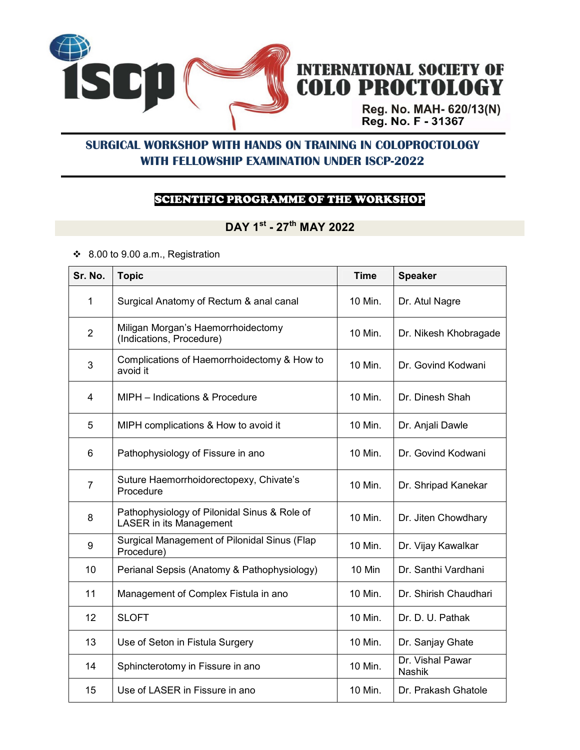

# INTERNATIONAL SOCIETY OF<br>COLO PROCTOLOGY

Reg. No. MAH- 620/13(N)<br>Reg. No. F - 31367

### **SURGICAL WORKSHOP WITH HANDS ON TRAINING IN COLOPROCTOLOGY WITH FELLOWSHIP EXAMINATION UNDER ISCP-2022**

#### SCIENTIFIC PROGRAMME OF THE WORKSHOP

# **DAY 1st - 27th MAY 2022**

8.00 to 9.00 a.m., Registration

| Sr. No.        | <b>Topic</b>                                                                   | <b>Time</b> | <b>Speaker</b>                    |
|----------------|--------------------------------------------------------------------------------|-------------|-----------------------------------|
| 1              | Surgical Anatomy of Rectum & anal canal                                        | 10 Min.     | Dr. Atul Nagre                    |
| $\overline{2}$ | Miligan Morgan's Haemorrhoidectomy<br>(Indications, Procedure)                 | 10 Min.     | Dr. Nikesh Khobragade             |
| 3              | Complications of Haemorrhoidectomy & How to<br>avoid it                        | 10 Min.     | Dr. Govind Kodwani                |
| 4              | MIPH - Indications & Procedure                                                 | 10 Min.     | Dr. Dinesh Shah                   |
| 5              | MIPH complications & How to avoid it                                           | 10 Min.     | Dr. Anjali Dawle                  |
| 6              | Pathophysiology of Fissure in ano                                              | 10 Min.     | Dr. Govind Kodwani                |
| $\overline{7}$ | Suture Haemorrhoidorectopexy, Chivate's<br>Procedure                           | 10 Min.     | Dr. Shripad Kanekar               |
| 8              | Pathophysiology of Pilonidal Sinus & Role of<br><b>LASER</b> in its Management | 10 Min.     | Dr. Jiten Chowdhary               |
| 9              | Surgical Management of Pilonidal Sinus (Flap<br>Procedure)                     | 10 Min.     | Dr. Vijay Kawalkar                |
| 10             | Perianal Sepsis (Anatomy & Pathophysiology)                                    | 10 Min      | Dr. Santhi Vardhani               |
| 11             | Management of Complex Fistula in ano                                           | 10 Min.     | Dr. Shirish Chaudhari             |
| 12             | <b>SLOFT</b>                                                                   | 10 Min.     | Dr. D. U. Pathak                  |
| 13             | Use of Seton in Fistula Surgery                                                | 10 Min.     | Dr. Sanjay Ghate                  |
| 14             | Sphincterotomy in Fissure in ano                                               | 10 Min.     | Dr. Vishal Pawar<br><b>Nashik</b> |
| 15             | Use of LASER in Fissure in ano                                                 | 10 Min.     | Dr. Prakash Ghatole               |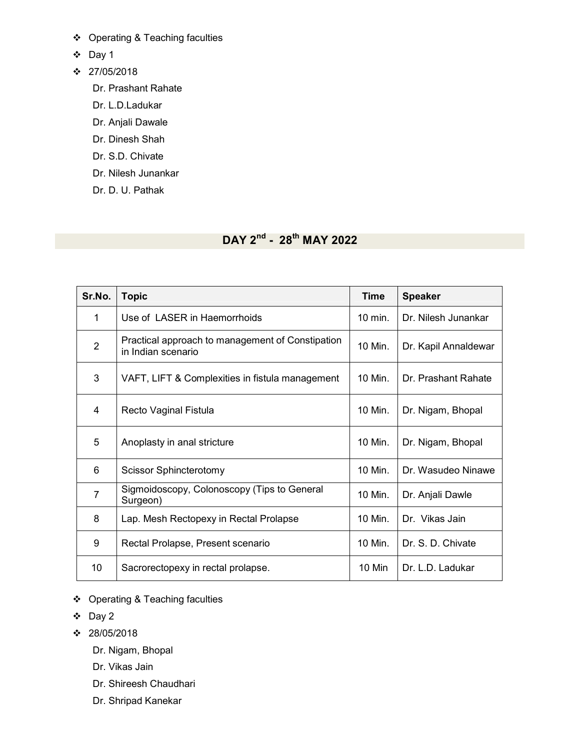- Operating & Teaching faculties
- Day 1
- $\div$  27/05/2018
	- Dr. Prashant Rahate
	- Dr. L.D.Ladukar
	- Dr. Anjali Dawale
	- Dr. Dinesh Shah
	- Dr. S.D. Chivate
	- Dr. Nilesh Junankar
	- Dr. D. U. Pathak

# **DAY 2nd - 28th MAY 2022**

| Sr.No.         | <b>Topic</b>                                                           | Time    | <b>Speaker</b>       |
|----------------|------------------------------------------------------------------------|---------|----------------------|
| 1              | Use of LASER in Haemorrhoids                                           | 10 min. | Dr. Nilesh Junankar  |
| $\overline{2}$ | Practical approach to management of Constipation<br>in Indian scenario | 10 Min. | Dr. Kapil Annaldewar |
| 3              | VAFT, LIFT & Complexities in fistula management                        | 10 Min. | Dr. Prashant Rahate  |
| 4              | Recto Vaginal Fistula                                                  | 10 Min. | Dr. Nigam, Bhopal    |
| 5              | Anoplasty in anal stricture                                            | 10 Min. | Dr. Nigam, Bhopal    |
| 6              | <b>Scissor Sphincterotomy</b>                                          | 10 Min. | Dr. Wasudeo Ninawe   |
| $\overline{7}$ | Sigmoidoscopy, Colonoscopy (Tips to General<br>Surgeon)                | 10 Min. | Dr. Anjali Dawle     |
| 8              | Lap. Mesh Rectopexy in Rectal Prolapse                                 | 10 Min. | Dr. Vikas Jain       |
| 9              | Rectal Prolapse, Present scenario                                      | 10 Min. | Dr. S. D. Chivate    |
| 10             | Sacrorectopexy in rectal prolapse.                                     | 10 Min  | Dr. L.D. Ladukar     |

- Operating & Teaching faculties
- $\div$  Day 2
- $\div$  28/05/2018
	- Dr. Nigam, Bhopal
	- Dr. Vikas Jain
	- Dr. Shireesh Chaudhari
	- Dr. Shripad Kanekar